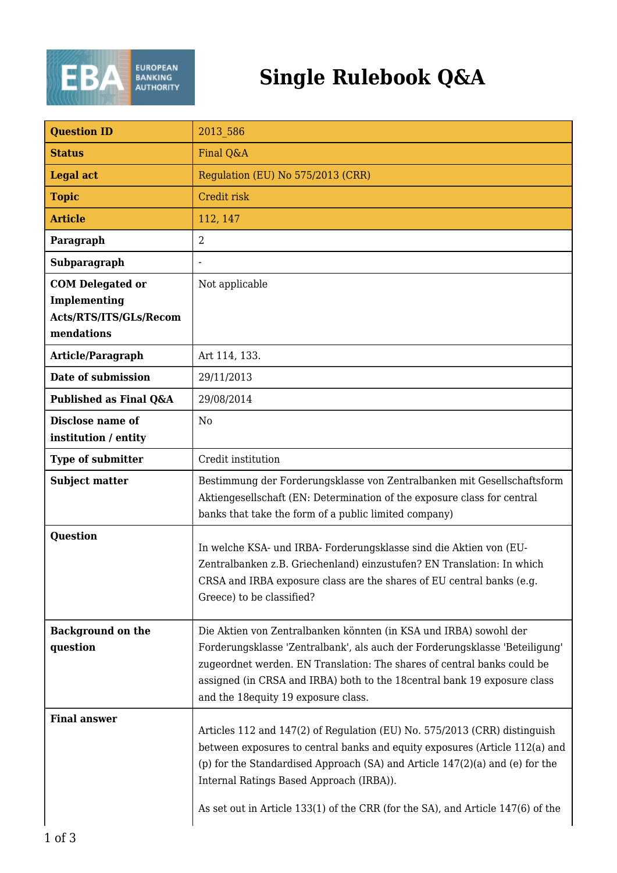

| <b>Question ID</b>                                                              | 2013 586                                                                                                                                                                                                                                                                                                                                        |
|---------------------------------------------------------------------------------|-------------------------------------------------------------------------------------------------------------------------------------------------------------------------------------------------------------------------------------------------------------------------------------------------------------------------------------------------|
| <b>Status</b>                                                                   | Final Q&A                                                                                                                                                                                                                                                                                                                                       |
| <b>Legal act</b>                                                                | Regulation (EU) No 575/2013 (CRR)                                                                                                                                                                                                                                                                                                               |
| <b>Topic</b>                                                                    | Credit risk                                                                                                                                                                                                                                                                                                                                     |
| <b>Article</b>                                                                  | 112, 147                                                                                                                                                                                                                                                                                                                                        |
| Paragraph                                                                       | $\overline{2}$                                                                                                                                                                                                                                                                                                                                  |
| Subparagraph                                                                    |                                                                                                                                                                                                                                                                                                                                                 |
| <b>COM Delegated or</b><br>Implementing<br>Acts/RTS/ITS/GLs/Recom<br>mendations | Not applicable                                                                                                                                                                                                                                                                                                                                  |
| Article/Paragraph                                                               | Art 114, 133.                                                                                                                                                                                                                                                                                                                                   |
| Date of submission                                                              | 29/11/2013                                                                                                                                                                                                                                                                                                                                      |
| Published as Final Q&A                                                          | 29/08/2014                                                                                                                                                                                                                                                                                                                                      |
| Disclose name of<br>institution / entity                                        | N <sub>0</sub>                                                                                                                                                                                                                                                                                                                                  |
| <b>Type of submitter</b>                                                        | Credit institution                                                                                                                                                                                                                                                                                                                              |
| <b>Subject matter</b>                                                           | Bestimmung der Forderungsklasse von Zentralbanken mit Gesellschaftsform<br>Aktiengesellschaft (EN: Determination of the exposure class for central<br>banks that take the form of a public limited company)                                                                                                                                     |
| <b>Question</b>                                                                 | In welche KSA- und IRBA- Forderungsklasse sind die Aktien von (EU-<br>Zentralbanken z.B. Griechenland) einzustufen? EN Translation: In which<br>CRSA and IRBA exposure class are the shares of EU central banks (e.g.<br>Greece) to be classified?                                                                                              |
| <b>Background on the</b><br>question                                            | Die Aktien von Zentralbanken könnten (in KSA und IRBA) sowohl der<br>Forderungsklasse 'Zentralbank', als auch der Forderungsklasse 'Beteiligung'<br>zugeordnet werden. EN Translation: The shares of central banks could be<br>assigned (in CRSA and IRBA) both to the 18 central bank 19 exposure class<br>and the 18equity 19 exposure class. |
| <b>Final answer</b>                                                             | Articles 112 and 147(2) of Regulation (EU) No. 575/2013 (CRR) distinguish                                                                                                                                                                                                                                                                       |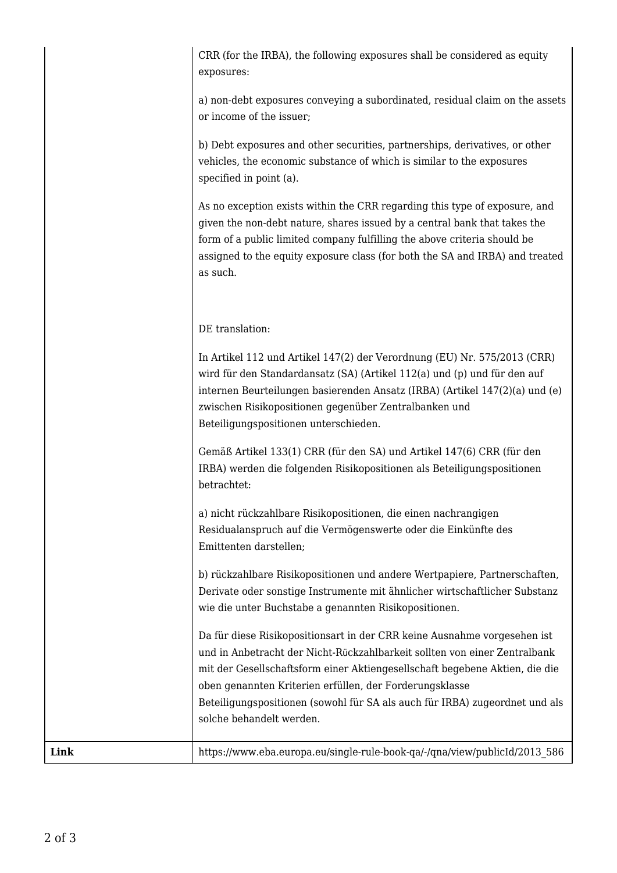|      | CRR (for the IRBA), the following exposures shall be considered as equity<br>exposures:                                                                                                                                                                                                                                                                                                                    |
|------|------------------------------------------------------------------------------------------------------------------------------------------------------------------------------------------------------------------------------------------------------------------------------------------------------------------------------------------------------------------------------------------------------------|
|      | a) non-debt exposures conveying a subordinated, residual claim on the assets<br>or income of the issuer;                                                                                                                                                                                                                                                                                                   |
|      | b) Debt exposures and other securities, partnerships, derivatives, or other<br>vehicles, the economic substance of which is similar to the exposures<br>specified in point (a).                                                                                                                                                                                                                            |
|      | As no exception exists within the CRR regarding this type of exposure, and<br>given the non-debt nature, shares issued by a central bank that takes the<br>form of a public limited company fulfilling the above criteria should be<br>assigned to the equity exposure class (for both the SA and IRBA) and treated<br>as such.                                                                            |
|      | DE translation:                                                                                                                                                                                                                                                                                                                                                                                            |
|      | In Artikel 112 und Artikel 147(2) der Verordnung (EU) Nr. 575/2013 (CRR)<br>wird für den Standardansatz (SA) (Artikel 112(a) und (p) und für den auf<br>internen Beurteilungen basierenden Ansatz (IRBA) (Artikel 147(2)(a) und (e)<br>zwischen Risikopositionen gegenüber Zentralbanken und<br>Beteiligungspositionen unterschieden.                                                                      |
|      | Gemäß Artikel 133(1) CRR (für den SA) und Artikel 147(6) CRR (für den<br>IRBA) werden die folgenden Risikopositionen als Beteiligungspositionen<br>betrachtet:                                                                                                                                                                                                                                             |
|      | a) nicht rückzahlbare Risikopositionen, die einen nachrangigen<br>Residualanspruch auf die Vermögenswerte oder die Einkünfte des<br>Emittenten darstellen;                                                                                                                                                                                                                                                 |
|      | b) rückzahlbare Risikopositionen und andere Wertpapiere, Partnerschaften,<br>Derivate oder sonstige Instrumente mit ähnlicher wirtschaftlicher Substanz<br>wie die unter Buchstabe a genannten Risikopositionen.                                                                                                                                                                                           |
|      | Da für diese Risikopositionsart in der CRR keine Ausnahme vorgesehen ist<br>und in Anbetracht der Nicht-Rückzahlbarkeit sollten von einer Zentralbank<br>mit der Gesellschaftsform einer Aktiengesellschaft begebene Aktien, die die<br>oben genannten Kriterien erfüllen, der Forderungsklasse<br>Beteiligungspositionen (sowohl für SA als auch für IRBA) zugeordnet und als<br>solche behandelt werden. |
| Link | https://www.eba.europa.eu/single-rule-book-qa/-/qna/view/publicId/2013 586                                                                                                                                                                                                                                                                                                                                 |